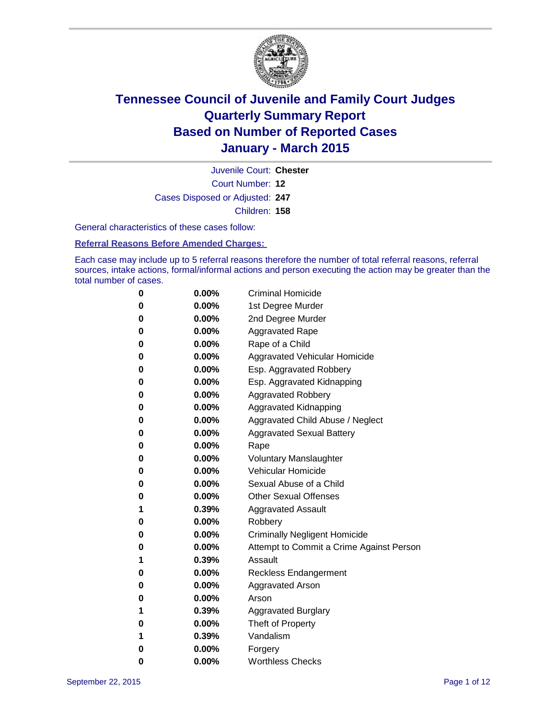

Court Number: **12** Juvenile Court: **Chester** Cases Disposed or Adjusted: **247** Children: **158**

General characteristics of these cases follow:

**Referral Reasons Before Amended Charges:** 

Each case may include up to 5 referral reasons therefore the number of total referral reasons, referral sources, intake actions, formal/informal actions and person executing the action may be greater than the total number of cases.

| 0        | $0.00\%$ | <b>Criminal Homicide</b>                 |
|----------|----------|------------------------------------------|
| 0        | $0.00\%$ | 1st Degree Murder                        |
| 0        | $0.00\%$ | 2nd Degree Murder                        |
| 0        | $0.00\%$ | <b>Aggravated Rape</b>                   |
| 0        | $0.00\%$ | Rape of a Child                          |
| 0        | $0.00\%$ | Aggravated Vehicular Homicide            |
| 0        | 0.00%    | Esp. Aggravated Robbery                  |
| 0        | $0.00\%$ | Esp. Aggravated Kidnapping               |
| 0        | $0.00\%$ | <b>Aggravated Robbery</b>                |
| 0        | $0.00\%$ | Aggravated Kidnapping                    |
| 0        | $0.00\%$ | Aggravated Child Abuse / Neglect         |
| 0        | $0.00\%$ | <b>Aggravated Sexual Battery</b>         |
| 0        | $0.00\%$ | Rape                                     |
| 0        | $0.00\%$ | <b>Voluntary Manslaughter</b>            |
| 0        | 0.00%    | Vehicular Homicide                       |
| 0        | $0.00\%$ | Sexual Abuse of a Child                  |
| 0        | $0.00\%$ | <b>Other Sexual Offenses</b>             |
| 1        | 0.39%    | <b>Aggravated Assault</b>                |
| 0        | 0.00%    | Robbery                                  |
| 0        | $0.00\%$ | <b>Criminally Negligent Homicide</b>     |
| 0        | $0.00\%$ | Attempt to Commit a Crime Against Person |
| 1        | 0.39%    | Assault                                  |
| 0        | $0.00\%$ | Reckless Endangerment                    |
| 0        | $0.00\%$ | <b>Aggravated Arson</b>                  |
| 0        | $0.00\%$ | Arson                                    |
| 1        | 0.39%    | <b>Aggravated Burglary</b>               |
| $\bf{0}$ | $0.00\%$ | Theft of Property                        |
| 1        | 0.39%    | Vandalism                                |
| $\bf{0}$ | 0.00%    | Forgery                                  |
| 0        | 0.00%    | <b>Worthless Checks</b>                  |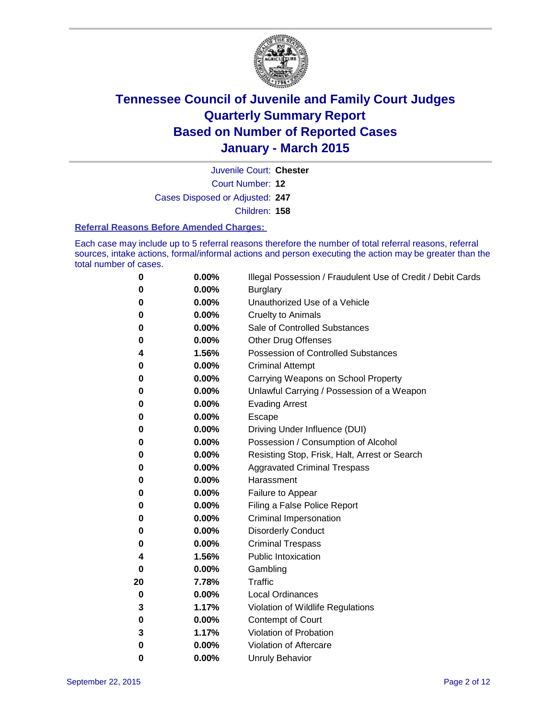

Court Number: **12** Juvenile Court: **Chester** Cases Disposed or Adjusted: **247**

Children: **158**

### **Referral Reasons Before Amended Charges:**

Each case may include up to 5 referral reasons therefore the number of total referral reasons, referral sources, intake actions, formal/informal actions and person executing the action may be greater than the total number of cases.

| 0        | 0.00% | Illegal Possession / Fraudulent Use of Credit / Debit Cards |
|----------|-------|-------------------------------------------------------------|
| 0        | 0.00% | <b>Burglary</b>                                             |
| 0        | 0.00% | Unauthorized Use of a Vehicle                               |
| 0        | 0.00% | <b>Cruelty to Animals</b>                                   |
| 0        | 0.00% | Sale of Controlled Substances                               |
| 0        | 0.00% | <b>Other Drug Offenses</b>                                  |
| 4        | 1.56% | Possession of Controlled Substances                         |
| 0        | 0.00% | <b>Criminal Attempt</b>                                     |
| 0        | 0.00% | Carrying Weapons on School Property                         |
| 0        | 0.00% | Unlawful Carrying / Possession of a Weapon                  |
| 0        | 0.00% | <b>Evading Arrest</b>                                       |
| 0        | 0.00% | Escape                                                      |
| 0        | 0.00% | Driving Under Influence (DUI)                               |
| 0        | 0.00% | Possession / Consumption of Alcohol                         |
| 0        | 0.00% | Resisting Stop, Frisk, Halt, Arrest or Search               |
| 0        | 0.00% | <b>Aggravated Criminal Trespass</b>                         |
| 0        | 0.00% | Harassment                                                  |
| 0        | 0.00% | Failure to Appear                                           |
| 0        | 0.00% | Filing a False Police Report                                |
| 0        | 0.00% | Criminal Impersonation                                      |
| 0        | 0.00% | <b>Disorderly Conduct</b>                                   |
| 0        | 0.00% | <b>Criminal Trespass</b>                                    |
| 4        | 1.56% | <b>Public Intoxication</b>                                  |
| $\bf{0}$ | 0.00% | Gambling                                                    |
| 20       | 7.78% | <b>Traffic</b>                                              |
| 0        | 0.00% | <b>Local Ordinances</b>                                     |
| 3        | 1.17% | Violation of Wildlife Regulations                           |
| 0        | 0.00% | Contempt of Court                                           |
| 3        | 1.17% | Violation of Probation                                      |
| 0        | 0.00% | Violation of Aftercare                                      |
| 0        | 0.00% | <b>Unruly Behavior</b>                                      |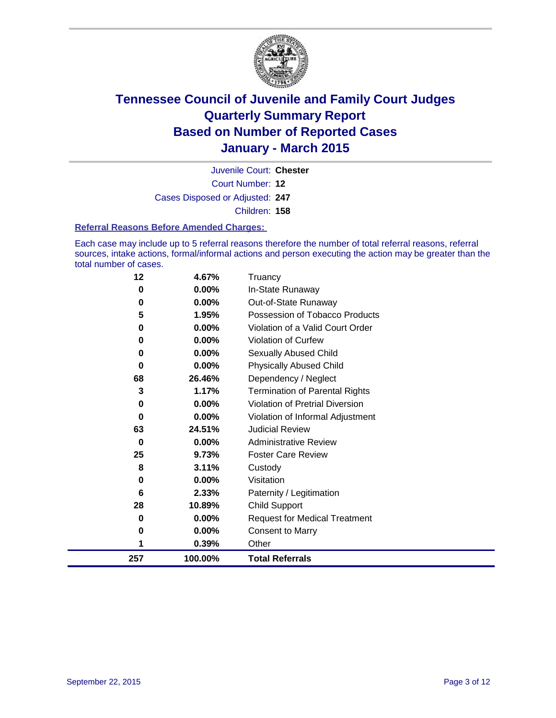

Court Number: **12** Juvenile Court: **Chester** Cases Disposed or Adjusted: **247** Children: **158**

### **Referral Reasons Before Amended Charges:**

Each case may include up to 5 referral reasons therefore the number of total referral reasons, referral sources, intake actions, formal/informal actions and person executing the action may be greater than the total number of cases.

| 12  | 4.67%    | Truancy                                |
|-----|----------|----------------------------------------|
| 0   | 0.00%    | In-State Runaway                       |
| 0   | 0.00%    | Out-of-State Runaway                   |
| 5   | 1.95%    | Possession of Tobacco Products         |
| 0   | 0.00%    | Violation of a Valid Court Order       |
| 0   | $0.00\%$ | <b>Violation of Curfew</b>             |
| 0   | 0.00%    | Sexually Abused Child                  |
| 0   | 0.00%    | <b>Physically Abused Child</b>         |
| 68  | 26.46%   | Dependency / Neglect                   |
| 3   | 1.17%    | <b>Termination of Parental Rights</b>  |
| 0   | 0.00%    | <b>Violation of Pretrial Diversion</b> |
| 0   | 0.00%    | Violation of Informal Adjustment       |
| 63  | 24.51%   | <b>Judicial Review</b>                 |
| 0   | $0.00\%$ | <b>Administrative Review</b>           |
| 25  | 9.73%    | <b>Foster Care Review</b>              |
| 8   | 3.11%    | Custody                                |
| 0   | 0.00%    | Visitation                             |
| 6   | 2.33%    | Paternity / Legitimation               |
| 28  | 10.89%   | <b>Child Support</b>                   |
| 0   | 0.00%    | <b>Request for Medical Treatment</b>   |
| 0   | 0.00%    | <b>Consent to Marry</b>                |
|     | 0.39%    | Other                                  |
| 257 | 100.00%  | <b>Total Referrals</b>                 |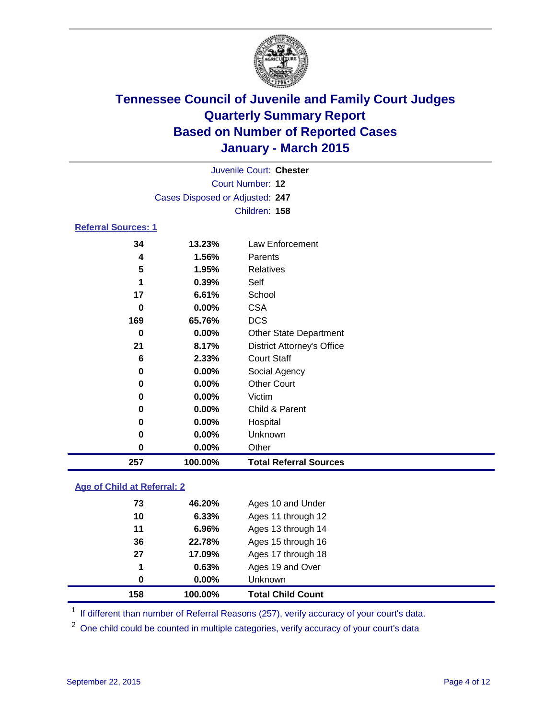

| Juvenile Court: Chester         |  |
|---------------------------------|--|
| Court Number: 12                |  |
| Cases Disposed or Adjusted: 247 |  |
| Children: 158                   |  |
| <b>Referral Sources: 1</b>      |  |

| 257 | 100.00%  | <b>Total Referral Sources</b>     |
|-----|----------|-----------------------------------|
| 0   | 0.00%    | Other                             |
| 0   | 0.00%    | Unknown                           |
| 0   | 0.00%    | Hospital                          |
| 0   | $0.00\%$ | Child & Parent                    |
| 0   | 0.00%    | Victim                            |
| 0   | 0.00%    | <b>Other Court</b>                |
| 0   | 0.00%    | Social Agency                     |
| 6   | 2.33%    | <b>Court Staff</b>                |
| 21  | 8.17%    | <b>District Attorney's Office</b> |
| 0   | 0.00%    | <b>Other State Department</b>     |
| 169 | 65.76%   | <b>DCS</b>                        |
| 0   | 0.00%    | <b>CSA</b>                        |
| 17  | 6.61%    | School                            |
|     | 0.39%    | Self                              |
| 5   | 1.95%    | Relatives                         |
| 4   | 1.56%    | Parents                           |
| 34  | 13.23%   | Law Enforcement                   |

### **Age of Child at Referral: 2**

| 158 | 100.00%  | <b>Total Child Count</b> |
|-----|----------|--------------------------|
| 0   | $0.00\%$ | Unknown                  |
| 1   | 0.63%    | Ages 19 and Over         |
| 27  | 17.09%   | Ages 17 through 18       |
| 36  | 22.78%   | Ages 15 through 16       |
| 11  | 6.96%    | Ages 13 through 14       |
| 10  | 6.33%    | Ages 11 through 12       |
| 73  | 46.20%   | Ages 10 and Under        |

<sup>1</sup> If different than number of Referral Reasons (257), verify accuracy of your court's data.

One child could be counted in multiple categories, verify accuracy of your court's data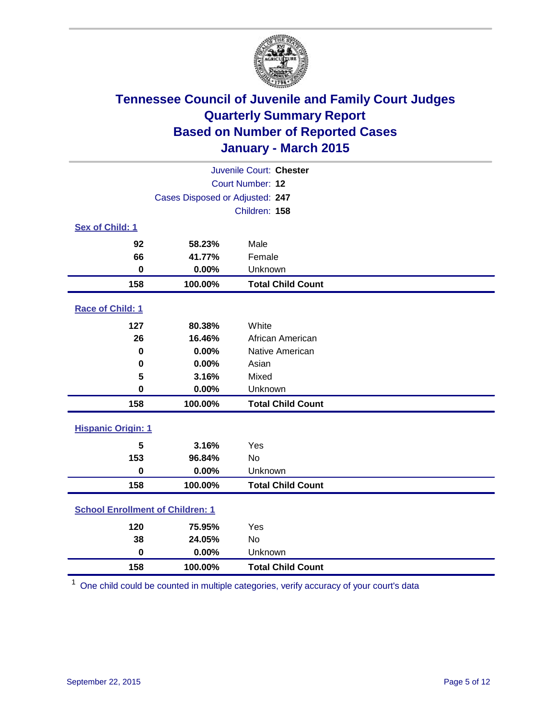

| Juvenile Court: Chester                 |                                 |                          |  |  |
|-----------------------------------------|---------------------------------|--------------------------|--|--|
|                                         | Court Number: 12                |                          |  |  |
|                                         | Cases Disposed or Adjusted: 247 |                          |  |  |
|                                         |                                 | Children: 158            |  |  |
| Sex of Child: 1                         |                                 |                          |  |  |
| 92                                      | 58.23%                          | Male                     |  |  |
| 66                                      | 41.77%                          | Female                   |  |  |
| $\bf{0}$                                | 0.00%                           | Unknown                  |  |  |
| 158                                     | 100.00%                         | <b>Total Child Count</b> |  |  |
| Race of Child: 1                        |                                 |                          |  |  |
| 127                                     | 80.38%                          | White                    |  |  |
| 26                                      | 16.46%                          | African American         |  |  |
| $\bf{0}$                                | 0.00%                           | Native American          |  |  |
| 0                                       | 0.00%                           | Asian                    |  |  |
| 5                                       | 3.16%                           | Mixed                    |  |  |
| $\mathbf 0$                             | 0.00%                           | Unknown                  |  |  |
| 158                                     | 100.00%                         | <b>Total Child Count</b> |  |  |
| <b>Hispanic Origin: 1</b>               |                                 |                          |  |  |
| 5                                       | 3.16%                           | Yes                      |  |  |
| 153                                     | 96.84%                          | No                       |  |  |
| $\mathbf 0$                             | 0.00%                           | Unknown                  |  |  |
| 158                                     | 100.00%                         | <b>Total Child Count</b> |  |  |
| <b>School Enrollment of Children: 1</b> |                                 |                          |  |  |
| 120                                     | 75.95%                          | Yes                      |  |  |
| 38                                      | 24.05%                          | No                       |  |  |
| $\mathbf 0$                             | 0.00%                           | Unknown                  |  |  |
| 158                                     | 100.00%                         | <b>Total Child Count</b> |  |  |

One child could be counted in multiple categories, verify accuracy of your court's data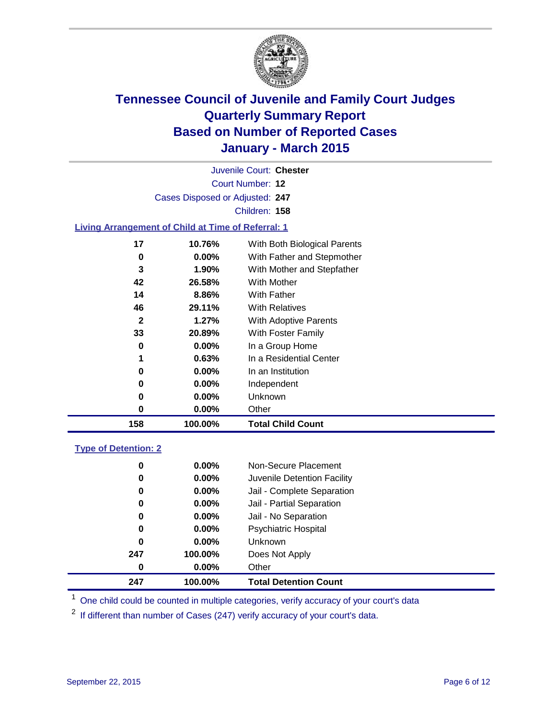

| Juvenile Court: Chester         |  |
|---------------------------------|--|
| Court Number: 12                |  |
| Cases Disposed or Adjusted: 247 |  |
| Children: 158                   |  |
|                                 |  |

### **Living Arrangement of Child at Time of Referral: 1**

| 17           | 10.76%   | With Both Biological Parents |
|--------------|----------|------------------------------|
| 0            | $0.00\%$ | With Father and Stepmother   |
| 3            | $1.90\%$ | With Mother and Stepfather   |
| 42           | 26.58%   | <b>With Mother</b>           |
| 14           | 8.86%    | With Father                  |
| 46           | 29.11%   | <b>With Relatives</b>        |
| $\mathbf{2}$ | 1.27%    | <b>With Adoptive Parents</b> |
| 33           | 20.89%   | With Foster Family           |
| 0            | 0.00%    | In a Group Home              |
| 1            | 0.63%    | In a Residential Center      |
| 0            | 0.00%    | In an Institution            |
| 0            | $0.00\%$ | Independent                  |
| 0            | $0.00\%$ | <b>Unknown</b>               |
| 0            | $0.00\%$ | Other                        |
| 158          | 100.00%  | <b>Total Child Count</b>     |

### **Type of Detention: 2**

| 247 | 100.00%  | <b>Total Detention Count</b> |
|-----|----------|------------------------------|
| 0   | $0.00\%$ | Other                        |
| 247 | 100.00%  | Does Not Apply               |
| 0   | $0.00\%$ | Unknown                      |
| 0   | $0.00\%$ | <b>Psychiatric Hospital</b>  |
| 0   | $0.00\%$ | Jail - No Separation         |
| 0   | $0.00\%$ | Jail - Partial Separation    |
| 0   | $0.00\%$ | Jail - Complete Separation   |
| 0   | $0.00\%$ | Juvenile Detention Facility  |
| 0   | $0.00\%$ | Non-Secure Placement         |

<sup>1</sup> One child could be counted in multiple categories, verify accuracy of your court's data

If different than number of Cases (247) verify accuracy of your court's data.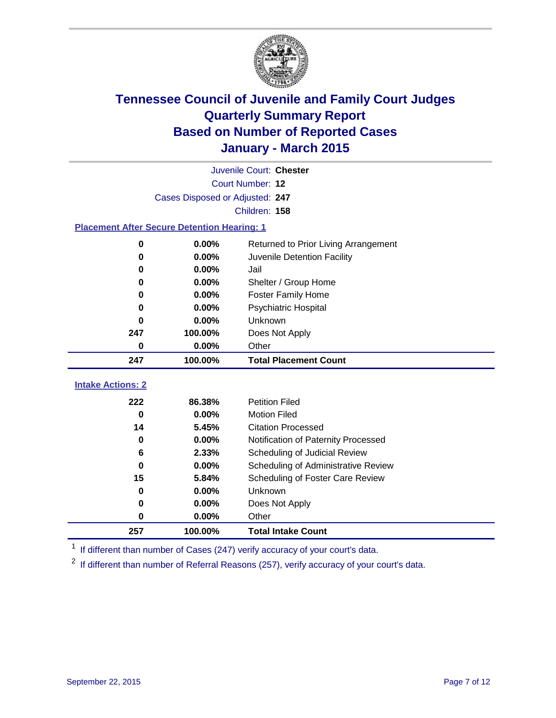

|                                                    | Juvenile Court: Chester         |                                      |  |  |  |  |
|----------------------------------------------------|---------------------------------|--------------------------------------|--|--|--|--|
|                                                    | Court Number: 12                |                                      |  |  |  |  |
|                                                    | Cases Disposed or Adjusted: 247 |                                      |  |  |  |  |
|                                                    | Children: 158                   |                                      |  |  |  |  |
| <b>Placement After Secure Detention Hearing: 1</b> |                                 |                                      |  |  |  |  |
| $\bf{0}$                                           | 0.00%                           | Returned to Prior Living Arrangement |  |  |  |  |
| 0                                                  | 0.00%                           | Juvenile Detention Facility          |  |  |  |  |
| 0                                                  | 0.00%                           | Jail                                 |  |  |  |  |
| 0                                                  | 0.00%                           | Shelter / Group Home                 |  |  |  |  |
| 0                                                  | $0.00\%$                        | <b>Foster Family Home</b>            |  |  |  |  |
| 0                                                  | 0.00%                           | Psychiatric Hospital                 |  |  |  |  |
| 0                                                  | 0.00%                           | Unknown                              |  |  |  |  |
| 247                                                | 100.00%                         | Does Not Apply                       |  |  |  |  |
| 0                                                  | 0.00%                           | Other                                |  |  |  |  |
| 247                                                | 100.00%                         | <b>Total Placement Count</b>         |  |  |  |  |
| <b>Intake Actions: 2</b>                           |                                 |                                      |  |  |  |  |
|                                                    |                                 |                                      |  |  |  |  |
| 222                                                | 86.38%                          | <b>Petition Filed</b>                |  |  |  |  |
| $\bf{0}$                                           | 0.00%                           | <b>Motion Filed</b>                  |  |  |  |  |
| 14                                                 | 5.45%                           | <b>Citation Processed</b>            |  |  |  |  |
| $\bf{0}$                                           | 0.00%                           | Notification of Paternity Processed  |  |  |  |  |
| 6                                                  | 2.33%                           | Scheduling of Judicial Review        |  |  |  |  |
| $\bf{0}$                                           | 0.00%                           | Scheduling of Administrative Review  |  |  |  |  |
| 15                                                 | 5.84%                           | Scheduling of Foster Care Review     |  |  |  |  |
| 0                                                  | $0.00\%$                        | Unknown                              |  |  |  |  |
| 0                                                  | 0.00%                           | Does Not Apply                       |  |  |  |  |
| 0                                                  | 0.00%                           | Other                                |  |  |  |  |
| 257                                                | 100.00%                         | <b>Total Intake Count</b>            |  |  |  |  |

<sup>1</sup> If different than number of Cases (247) verify accuracy of your court's data.

If different than number of Referral Reasons (257), verify accuracy of your court's data.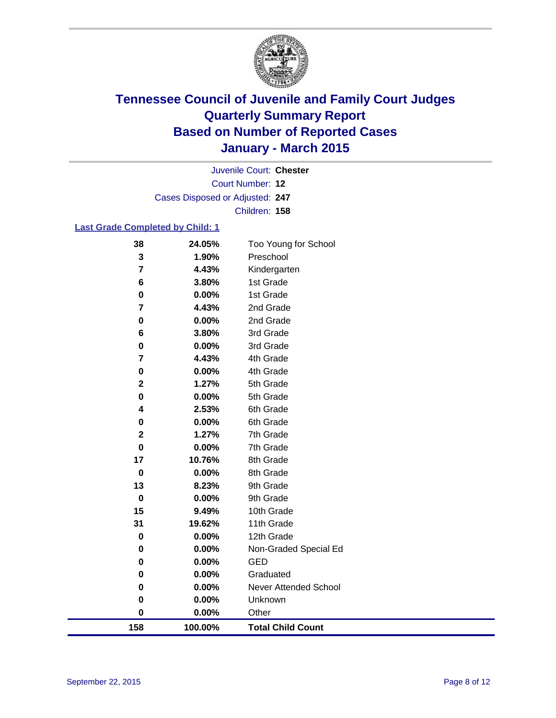

Court Number: **12** Juvenile Court: **Chester** Cases Disposed or Adjusted: **247** Children: **158**

### **Last Grade Completed by Child: 1**

| 38             | 24.05%  | Too Young for School         |
|----------------|---------|------------------------------|
| 3              | 1.90%   | Preschool                    |
| $\overline{7}$ | 4.43%   | Kindergarten                 |
| 6              | 3.80%   | 1st Grade                    |
| 0              | 0.00%   | 1st Grade                    |
| 7              | 4.43%   | 2nd Grade                    |
| 0              | 0.00%   | 2nd Grade                    |
| 6              | 3.80%   | 3rd Grade                    |
| 0              | 0.00%   | 3rd Grade                    |
| 7              | 4.43%   | 4th Grade                    |
| 0              | 0.00%   | 4th Grade                    |
| $\mathbf 2$    | 1.27%   | 5th Grade                    |
| 0              | 0.00%   | 5th Grade                    |
| 4              | 2.53%   | 6th Grade                    |
| 0              | 0.00%   | 6th Grade                    |
| 2              | 1.27%   | 7th Grade                    |
| 0              | 0.00%   | 7th Grade                    |
| 17             | 10.76%  | 8th Grade                    |
| $\mathbf 0$    | 0.00%   | 8th Grade                    |
| 13             | 8.23%   | 9th Grade                    |
| $\pmb{0}$      | 0.00%   | 9th Grade                    |
| 15             | 9.49%   | 10th Grade                   |
| 31             | 19.62%  | 11th Grade                   |
| 0              | 0.00%   | 12th Grade                   |
| 0              | 0.00%   | Non-Graded Special Ed        |
| 0              | 0.00%   | <b>GED</b>                   |
| 0              | 0.00%   | Graduated                    |
| 0              | 0.00%   | <b>Never Attended School</b> |
| 0              | 0.00%   | Unknown                      |
| $\bf{0}$       | 0.00%   | Other                        |
| 158            | 100.00% | <b>Total Child Count</b>     |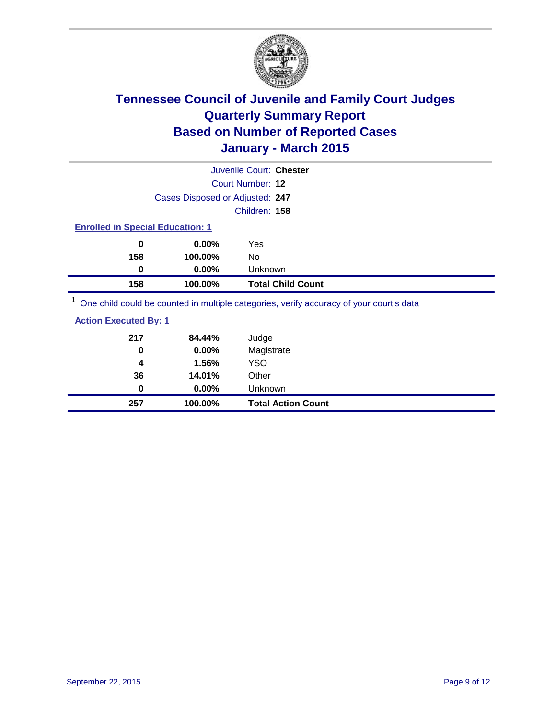

|                                         |                                 | Juvenile Court: Chester                                                                 |  |
|-----------------------------------------|---------------------------------|-----------------------------------------------------------------------------------------|--|
|                                         |                                 | Court Number: 12                                                                        |  |
|                                         | Cases Disposed or Adjusted: 247 |                                                                                         |  |
|                                         |                                 | Children: 158                                                                           |  |
| <b>Enrolled in Special Education: 1</b> |                                 |                                                                                         |  |
| 0                                       | $0.00\%$                        | Yes                                                                                     |  |
| 158                                     | 100.00%                         | No                                                                                      |  |
| 0                                       | $0.00\%$                        | Unknown                                                                                 |  |
| 158                                     | 100.00%                         | <b>Total Child Count</b>                                                                |  |
|                                         |                                 | One child could be counted in multiple categories, verify accuracy of your court's data |  |
| Antina Fonnitial Doc 4                  |                                 |                                                                                         |  |

| 257                          | 100.00%  | <b>Total Action Count</b> |
|------------------------------|----------|---------------------------|
| 0                            | $0.00\%$ | <b>Unknown</b>            |
| 36                           | 14.01%   | Other                     |
| 4                            | 1.56%    | <b>YSO</b>                |
| 0                            | $0.00\%$ | Magistrate                |
| 217                          | 84.44%   | Judge                     |
| <b>Action Executed By: 1</b> |          |                           |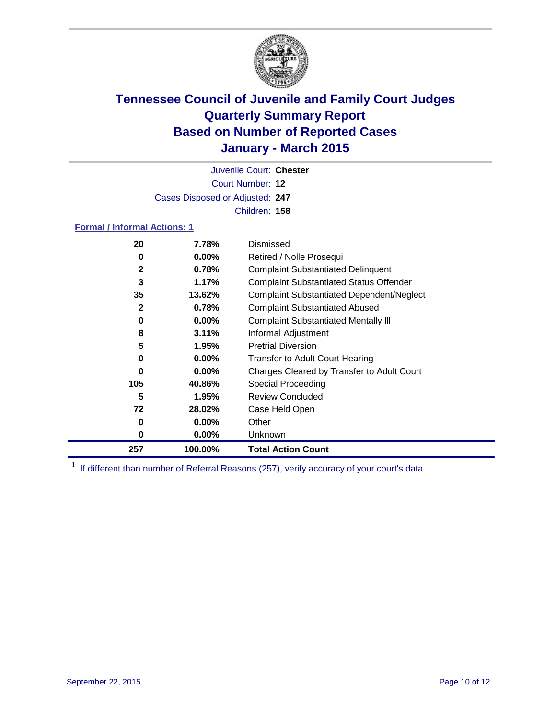

Court Number: **12** Juvenile Court: **Chester** Cases Disposed or Adjusted: **247** Children: **158**

### **Formal / Informal Actions: 1**

| 20  | 7.78%    | Dismissed                                        |
|-----|----------|--------------------------------------------------|
| 0   | $0.00\%$ | Retired / Nolle Prosequi                         |
| 2   | 0.78%    | <b>Complaint Substantiated Delinquent</b>        |
| 3   | 1.17%    | <b>Complaint Substantiated Status Offender</b>   |
| 35  | 13.62%   | <b>Complaint Substantiated Dependent/Neglect</b> |
| 2   | 0.78%    | <b>Complaint Substantiated Abused</b>            |
| 0   | $0.00\%$ | <b>Complaint Substantiated Mentally III</b>      |
| 8   | 3.11%    | Informal Adjustment                              |
| 5   | 1.95%    | <b>Pretrial Diversion</b>                        |
| 0   | $0.00\%$ | <b>Transfer to Adult Court Hearing</b>           |
| 0   | $0.00\%$ | Charges Cleared by Transfer to Adult Court       |
| 105 | 40.86%   | <b>Special Proceeding</b>                        |
| 5   | 1.95%    | <b>Review Concluded</b>                          |
| 72  | 28.02%   | Case Held Open                                   |
| 0   | $0.00\%$ | Other                                            |
| 0   | $0.00\%$ | Unknown                                          |
| 257 | 100.00%  | <b>Total Action Count</b>                        |

<sup>1</sup> If different than number of Referral Reasons (257), verify accuracy of your court's data.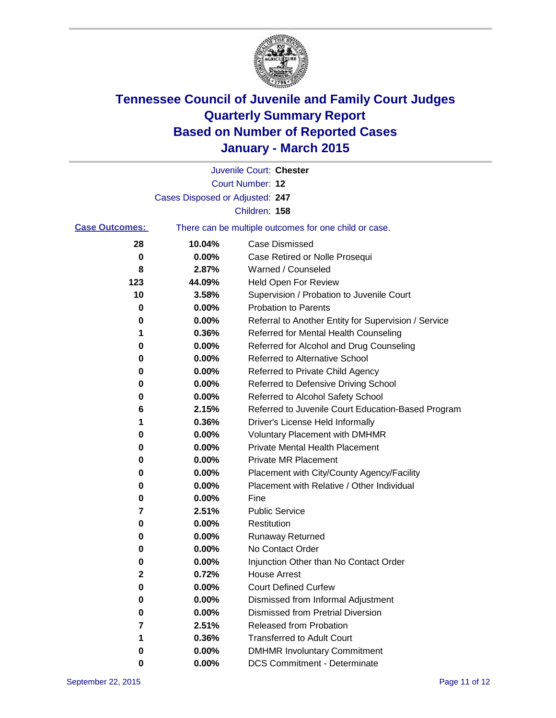

|                       |                                 | Juvenile Court: Chester                               |
|-----------------------|---------------------------------|-------------------------------------------------------|
|                       |                                 | Court Number: 12                                      |
|                       | Cases Disposed or Adjusted: 247 |                                                       |
|                       |                                 | Children: 158                                         |
| <b>Case Outcomes:</b> |                                 | There can be multiple outcomes for one child or case. |
| 28                    | 10.04%                          | <b>Case Dismissed</b>                                 |
| 0                     | 0.00%                           | Case Retired or Nolle Prosequi                        |
| 8                     | 2.87%                           | Warned / Counseled                                    |
| 123                   | 44.09%                          | Held Open For Review                                  |
| 10                    | 3.58%                           | Supervision / Probation to Juvenile Court             |
| 0                     | 0.00%                           | <b>Probation to Parents</b>                           |
| 0                     | 0.00%                           | Referral to Another Entity for Supervision / Service  |
| 1                     | 0.36%                           | Referred for Mental Health Counseling                 |
| 0                     | 0.00%                           | Referred for Alcohol and Drug Counseling              |
| 0                     | 0.00%                           | Referred to Alternative School                        |
| 0                     | 0.00%                           | Referred to Private Child Agency                      |
| 0                     | 0.00%                           | Referred to Defensive Driving School                  |
| 0                     | 0.00%                           | Referred to Alcohol Safety School                     |
| 6                     | 2.15%                           | Referred to Juvenile Court Education-Based Program    |
| 1                     | 0.36%                           | Driver's License Held Informally                      |
| 0                     | 0.00%                           | <b>Voluntary Placement with DMHMR</b>                 |
| 0                     | 0.00%                           | <b>Private Mental Health Placement</b>                |
| 0                     | 0.00%                           | <b>Private MR Placement</b>                           |
| 0                     | 0.00%                           | Placement with City/County Agency/Facility            |
| 0                     | 0.00%                           | Placement with Relative / Other Individual            |
| 0                     | 0.00%                           | Fine                                                  |
| 7                     | 2.51%                           | <b>Public Service</b>                                 |
| 0                     | 0.00%                           | Restitution                                           |
| 0                     | 0.00%                           | <b>Runaway Returned</b>                               |
| 0                     | 0.00%                           | No Contact Order                                      |
| 0                     | 0.00%                           | Injunction Other than No Contact Order                |
| 2                     | 0.72%                           | <b>House Arrest</b>                                   |
| 0                     | 0.00%                           | <b>Court Defined Curfew</b>                           |
| 0                     | 0.00%                           | Dismissed from Informal Adjustment                    |
| 0                     | 0.00%                           | <b>Dismissed from Pretrial Diversion</b>              |
| 7                     | 2.51%                           | Released from Probation                               |
| 1                     | 0.36%                           | <b>Transferred to Adult Court</b>                     |
| 0                     | 0.00%                           | <b>DMHMR Involuntary Commitment</b>                   |
| 0                     | 0.00%                           | <b>DCS Commitment - Determinate</b>                   |